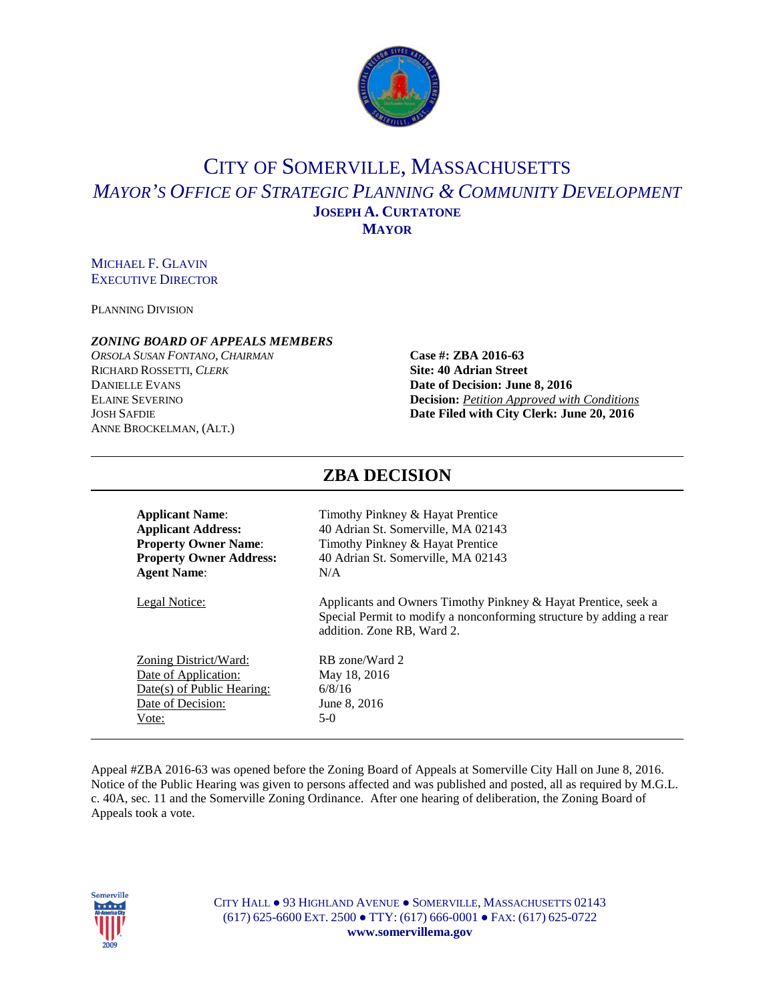

# CITY OF SOMERVILLE, MASSACHUSETTS *MAYOR'S OFFICE OF STRATEGIC PLANNING & COMMUNITY DEVELOPMENT* **JOSEPH A. CURTATONE MAYOR**

#### MICHAEL F. GLAVIN EXECUTIVE DIRECTOR

PLANNING DIVISION

#### *ZONING BOARD OF APPEALS MEMBERS*

*ORSOLA SUSAN FONTANO*, *CHAIRMAN* **Case #: ZBA 2016-63** RICHARD ROSSETTI, *CLERK* **Site: 40 Adrian Street DANIELLE EVANS**<br>**Date of Decision: June 8, 2016**<br>**Decision:** *Petition Approved wit* ANNE BROCKELMAN, (ALT.)

# **Decision:** *<u>Petition Approved with Conditions</u>* JOSH SAFDIE **Date Filed with City Clerk: June 20, 2016**

| Timothy Pinkney & Hayat Prentice                                                                                                                                    |  |  |  |
|---------------------------------------------------------------------------------------------------------------------------------------------------------------------|--|--|--|
| 40 Adrian St. Somerville, MA 02143                                                                                                                                  |  |  |  |
| Timothy Pinkney & Hayat Prentice                                                                                                                                    |  |  |  |
| 40 Adrian St. Somerville, MA 02143                                                                                                                                  |  |  |  |
| N/A                                                                                                                                                                 |  |  |  |
| Applicants and Owners Timothy Pinkney & Hayat Prentice, seek a<br>Special Permit to modify a nonconforming structure by adding a rear<br>addition. Zone RB, Ward 2. |  |  |  |
| RB zone/Ward 2                                                                                                                                                      |  |  |  |
| May 18, 2016                                                                                                                                                        |  |  |  |
| 6/8/16                                                                                                                                                              |  |  |  |
| June 8, 2016                                                                                                                                                        |  |  |  |
| $5-0$                                                                                                                                                               |  |  |  |
|                                                                                                                                                                     |  |  |  |

**ZBA DECISION**

#### Appeal #ZBA 2016-63 was opened before the Zoning Board of Appeals at Somerville City Hall on June 8, 2016. Notice of the Public Hearing was given to persons affected and was published and posted, all as required by M.G.L. c. 40A, sec. 11 and the Somerville Zoning Ordinance. After one hearing of deliberation, the Zoning Board of Appeals took a vote.

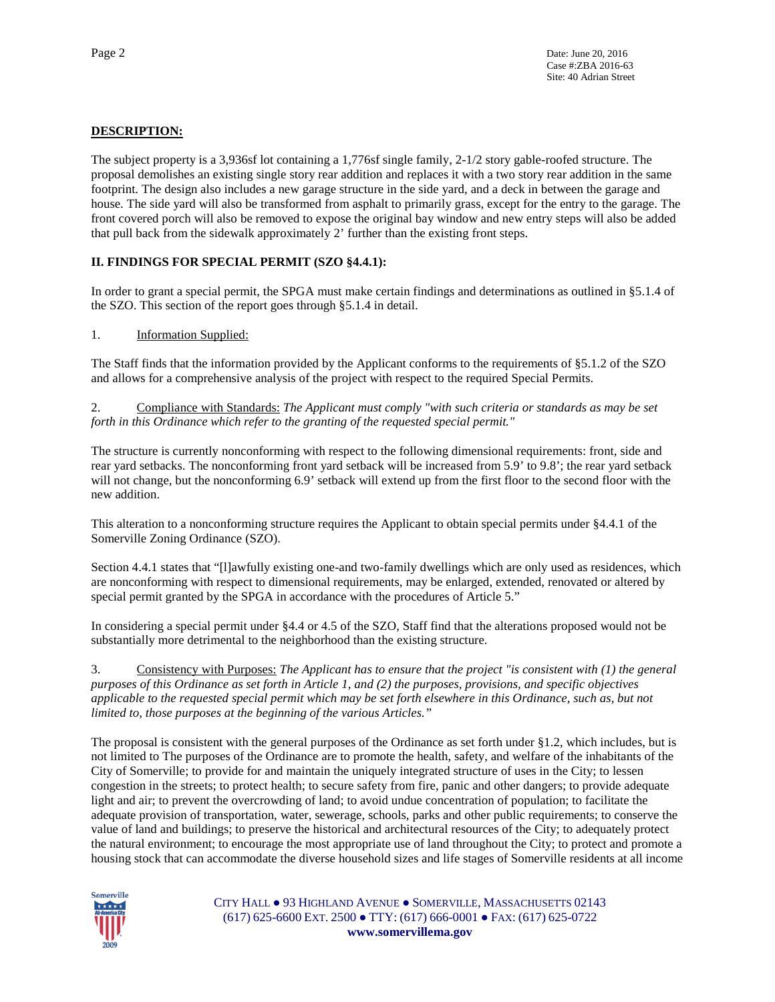### **DESCRIPTION:**

The subject property is a 3,936sf lot containing a 1,776sf single family, 2-1/2 story gable-roofed structure. The proposal demolishes an existing single story rear addition and replaces it with a two story rear addition in the same footprint. The design also includes a new garage structure in the side yard, and a deck in between the garage and house. The side yard will also be transformed from asphalt to primarily grass, except for the entry to the garage. The front covered porch will also be removed to expose the original bay window and new entry steps will also be added that pull back from the sidewalk approximately 2' further than the existing front steps.

#### **II. FINDINGS FOR SPECIAL PERMIT (SZO §4.4.1):**

In order to grant a special permit, the SPGA must make certain findings and determinations as outlined in §5.1.4 of the SZO. This section of the report goes through §5.1.4 in detail.

#### 1. Information Supplied:

The Staff finds that the information provided by the Applicant conforms to the requirements of §5.1.2 of the SZO and allows for a comprehensive analysis of the project with respect to the required Special Permits.

2. Compliance with Standards: *The Applicant must comply "with such criteria or standards as may be set forth in this Ordinance which refer to the granting of the requested special permit."*

The structure is currently nonconforming with respect to the following dimensional requirements: front, side and rear yard setbacks. The nonconforming front yard setback will be increased from 5.9' to 9.8'; the rear yard setback will not change, but the nonconforming 6.9' setback will extend up from the first floor to the second floor with the new addition.

This alteration to a nonconforming structure requires the Applicant to obtain special permits under §4.4.1 of the Somerville Zoning Ordinance (SZO).

Section 4.4.1 states that "[l]awfully existing one-and two-family dwellings which are only used as residences, which are nonconforming with respect to dimensional requirements, may be enlarged, extended, renovated or altered by special permit granted by the SPGA in accordance with the procedures of Article 5."

In considering a special permit under §4.4 or 4.5 of the SZO, Staff find that the alterations proposed would not be substantially more detrimental to the neighborhood than the existing structure.

3. Consistency with Purposes: *The Applicant has to ensure that the project "is consistent with (1) the general purposes of this Ordinance as set forth in Article 1, and (2) the purposes, provisions, and specific objectives applicable to the requested special permit which may be set forth elsewhere in this Ordinance, such as, but not limited to, those purposes at the beginning of the various Articles."* 

The proposal is consistent with the general purposes of the Ordinance as set forth under §1.2, which includes, but is not limited to The purposes of the Ordinance are to promote the health, safety, and welfare of the inhabitants of the City of Somerville; to provide for and maintain the uniquely integrated structure of uses in the City; to lessen congestion in the streets; to protect health; to secure safety from fire, panic and other dangers; to provide adequate light and air; to prevent the overcrowding of land; to avoid undue concentration of population; to facilitate the adequate provision of transportation, water, sewerage, schools, parks and other public requirements; to conserve the value of land and buildings; to preserve the historical and architectural resources of the City; to adequately protect the natural environment; to encourage the most appropriate use of land throughout the City; to protect and promote a housing stock that can accommodate the diverse household sizes and life stages of Somerville residents at all income

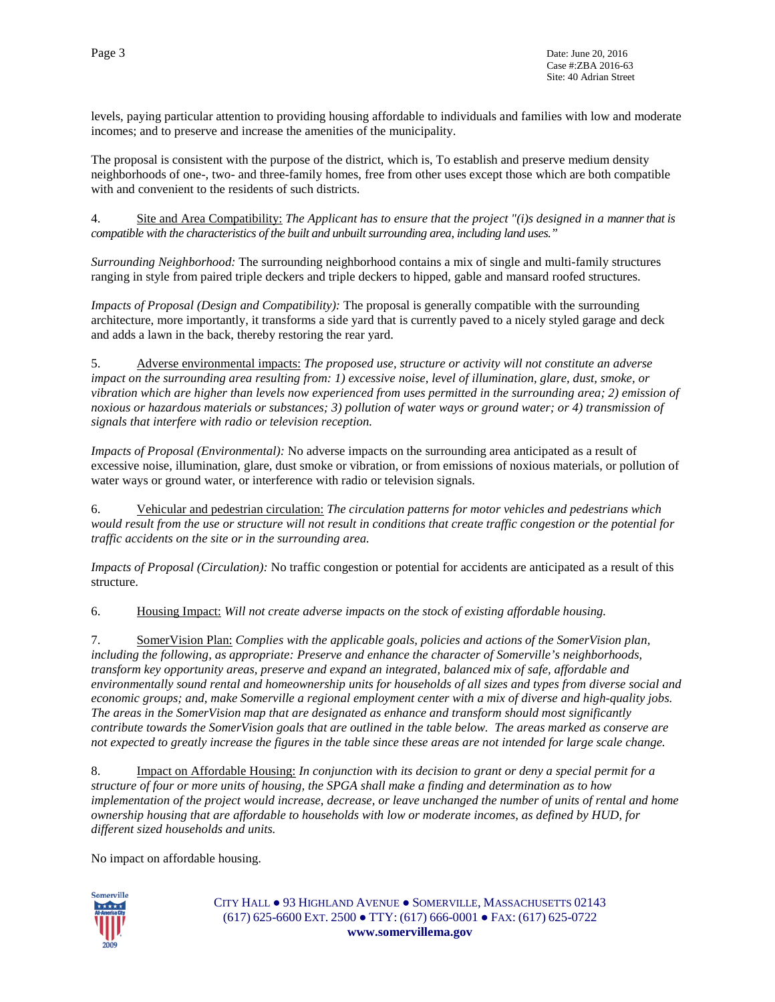levels, paying particular attention to providing housing affordable to individuals and families with low and moderate incomes; and to preserve and increase the amenities of the municipality.

The proposal is consistent with the purpose of the district, which is, To establish and preserve medium density neighborhoods of one-, two- and three-family homes, free from other uses except those which are both compatible with and convenient to the residents of such districts.

4. Site and Area Compatibility: *The Applicant has to ensure that the project "(i)s designed in a manner that is compatible with the characteristics of the built and unbuilt surrounding area, including land uses."*

*Surrounding Neighborhood:* The surrounding neighborhood contains a mix of single and multi-family structures ranging in style from paired triple deckers and triple deckers to hipped, gable and mansard roofed structures.

*Impacts of Proposal (Design and Compatibility):* The proposal is generally compatible with the surrounding architecture, more importantly, it transforms a side yard that is currently paved to a nicely styled garage and deck and adds a lawn in the back, thereby restoring the rear yard.

5. Adverse environmental impacts: *The proposed use, structure or activity will not constitute an adverse impact on the surrounding area resulting from: 1) excessive noise, level of illumination, glare, dust, smoke, or vibration which are higher than levels now experienced from uses permitted in the surrounding area; 2) emission of noxious or hazardous materials or substances; 3) pollution of water ways or ground water; or 4) transmission of signals that interfere with radio or television reception.*

*Impacts of Proposal (Environmental):* No adverse impacts on the surrounding area anticipated as a result of excessive noise, illumination, glare, dust smoke or vibration, or from emissions of noxious materials, or pollution of water ways or ground water, or interference with radio or television signals.

6. Vehicular and pedestrian circulation: *The circulation patterns for motor vehicles and pedestrians which would result from the use or structure will not result in conditions that create traffic congestion or the potential for traffic accidents on the site or in the surrounding area.*

*Impacts of Proposal (Circulation):* No traffic congestion or potential for accidents are anticipated as a result of this structure.

6. Housing Impact: *Will not create adverse impacts on the stock of existing affordable housing.*

7. SomerVision Plan: *Complies with the applicable goals, policies and actions of the SomerVision plan, including the following, as appropriate: Preserve and enhance the character of Somerville's neighborhoods, transform key opportunity areas, preserve and expand an integrated, balanced mix of safe, affordable and environmentally sound rental and homeownership units for households of all sizes and types from diverse social and economic groups; and, make Somerville a regional employment center with a mix of diverse and high-quality jobs. The areas in the SomerVision map that are designated as enhance and transform should most significantly contribute towards the SomerVision goals that are outlined in the table below. The areas marked as conserve are not expected to greatly increase the figures in the table since these areas are not intended for large scale change.*

8. Impact on Affordable Housing: *In conjunction with its decision to grant or deny a special permit for a structure of four or more units of housing, the SPGA shall make a finding and determination as to how implementation of the project would increase, decrease, or leave unchanged the number of units of rental and home ownership housing that are affordable to households with low or moderate incomes, as defined by HUD, for different sized households and units.*

No impact on affordable housing.

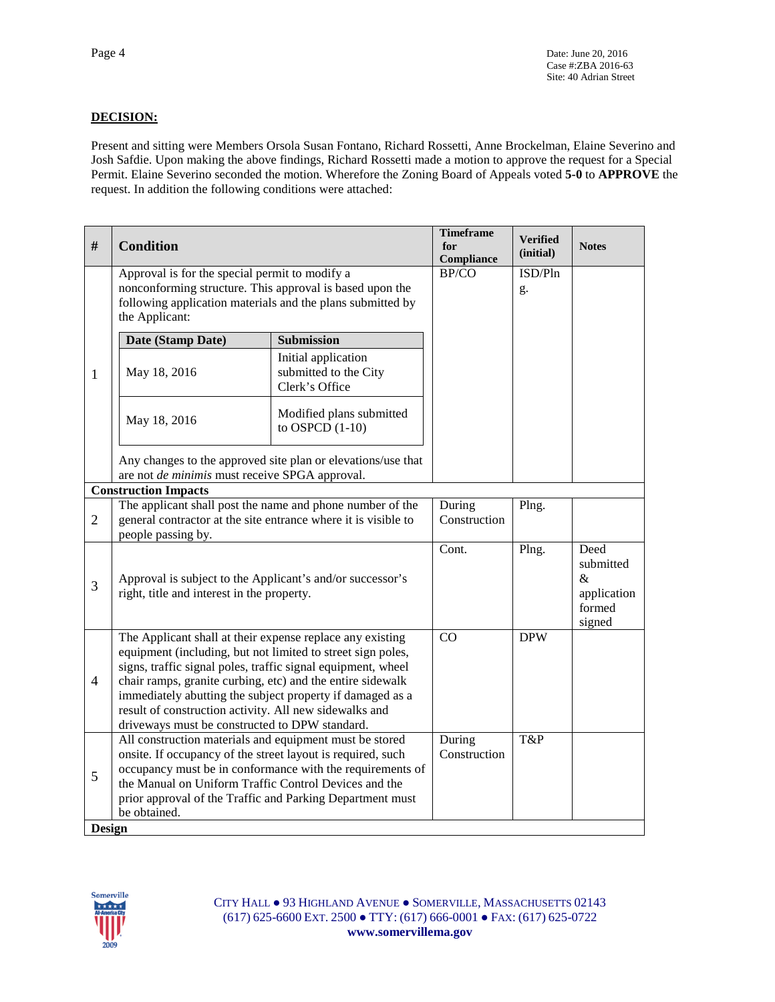## **DECISION:**

Present and sitting were Members Orsola Susan Fontano, Richard Rossetti, Anne Brockelman, Elaine Severino and Josh Safdie. Upon making the above findings, Richard Rossetti made a motion to approve the request for a Special Permit. Elaine Severino seconded the motion. Wherefore the Zoning Board of Appeals voted **5-0** to **APPROVE** the request. In addition the following conditions were attached:

| #              | <b>Condition</b>                                                                                                                                                                                                                                                                                                                                                                                                                |                                                                | <b>Timeframe</b><br>for<br>Compliance | <b>Verified</b><br>(initial) | <b>Notes</b>                                              |
|----------------|---------------------------------------------------------------------------------------------------------------------------------------------------------------------------------------------------------------------------------------------------------------------------------------------------------------------------------------------------------------------------------------------------------------------------------|----------------------------------------------------------------|---------------------------------------|------------------------------|-----------------------------------------------------------|
|                | Approval is for the special permit to modify a<br>nonconforming structure. This approval is based upon the<br>following application materials and the plans submitted by<br>the Applicant:                                                                                                                                                                                                                                      |                                                                | BP/CO                                 | ISD/Pln<br>g.                |                                                           |
|                | Date (Stamp Date)                                                                                                                                                                                                                                                                                                                                                                                                               | <b>Submission</b>                                              |                                       |                              |                                                           |
| $\mathbf{1}$   | May 18, 2016                                                                                                                                                                                                                                                                                                                                                                                                                    | Initial application<br>submitted to the City<br>Clerk's Office |                                       |                              |                                                           |
|                | May 18, 2016                                                                                                                                                                                                                                                                                                                                                                                                                    | Modified plans submitted<br>to OSPCD $(1-10)$                  |                                       |                              |                                                           |
|                | Any changes to the approved site plan or elevations/use that<br>are not de minimis must receive SPGA approval.                                                                                                                                                                                                                                                                                                                  |                                                                |                                       |                              |                                                           |
|                | <b>Construction Impacts</b>                                                                                                                                                                                                                                                                                                                                                                                                     |                                                                |                                       |                              |                                                           |
| $\overline{2}$ | The applicant shall post the name and phone number of the<br>general contractor at the site entrance where it is visible to<br>people passing by.                                                                                                                                                                                                                                                                               |                                                                | During<br>Construction                | Plng.                        |                                                           |
| 3              | Approval is subject to the Applicant's and/or successor's<br>right, title and interest in the property.                                                                                                                                                                                                                                                                                                                         |                                                                | Cont.                                 | Plng.                        | Deed<br>submitted<br>&<br>application<br>formed<br>signed |
| $\overline{4}$ | The Applicant shall at their expense replace any existing<br>equipment (including, but not limited to street sign poles,<br>signs, traffic signal poles, traffic signal equipment, wheel<br>chair ramps, granite curbing, etc) and the entire sidewalk<br>immediately abutting the subject property if damaged as a<br>result of construction activity. All new sidewalks and<br>driveways must be constructed to DPW standard. |                                                                | $\overline{CO}$                       | <b>DPW</b>                   |                                                           |
| 5<br>Design    | All construction materials and equipment must be stored<br>onsite. If occupancy of the street layout is required, such<br>the Manual on Uniform Traffic Control Devices and the<br>prior approval of the Traffic and Parking Department must<br>be obtained.                                                                                                                                                                    | occupancy must be in conformance with the requirements of      | During<br>Construction                | T&P                          |                                                           |

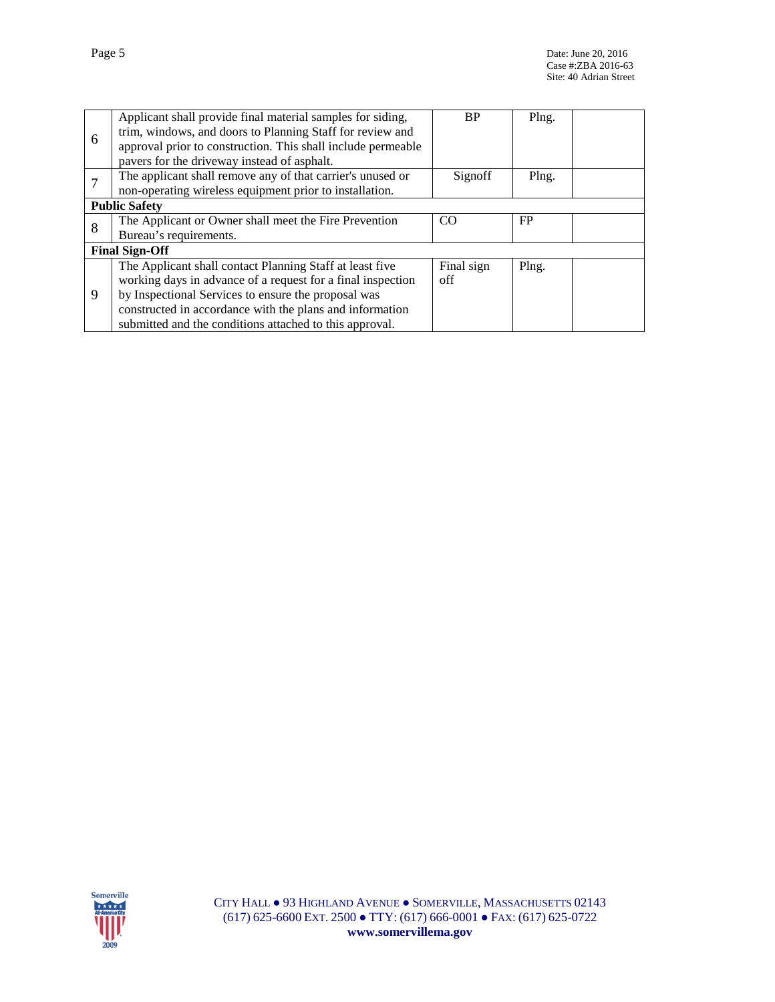|   | Applicant shall provide final material samples for siding,   | <b>BP</b>  | Plng. |  |
|---|--------------------------------------------------------------|------------|-------|--|
| 6 | trim, windows, and doors to Planning Staff for review and    |            |       |  |
|   | approval prior to construction. This shall include permeable |            |       |  |
|   | pavers for the driveway instead of asphalt.                  |            |       |  |
|   | The applicant shall remove any of that carrier's unused or   | Signoff    | Plng. |  |
|   | non-operating wireless equipment prior to installation.      |            |       |  |
|   | <b>Public Safety</b>                                         |            |       |  |
| 8 | The Applicant or Owner shall meet the Fire Prevention        | CO.        | FP    |  |
|   | Bureau's requirements.                                       |            |       |  |
|   | <b>Final Sign-Off</b>                                        |            |       |  |
|   | The Applicant shall contact Planning Staff at least five     | Final sign | Plng. |  |
|   | working days in advance of a request for a final inspection  | off        |       |  |
| 9 | by Inspectional Services to ensure the proposal was          |            |       |  |
|   | constructed in accordance with the plans and information     |            |       |  |
|   | submitted and the conditions attached to this approval.      |            |       |  |